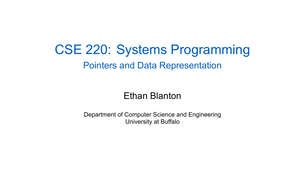#### CSE 220: Systems Programming Pointers and Data Representation

Ethan Blanton

Department of Computer Science and Engineering University at Buffalo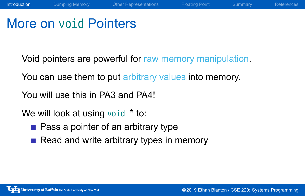## More on void Pointers

Void pointers are powerful for raw memory manipulation.

**Introduction** Dumping Memory **Other Representations** Floating Point Summary References

You can use them to put arbitrary values into memory.

You will use this in PA3 and PA4!

We will look at using void  $*$  to:

- **Pass a pointer of an arbitrary type**
- Read and write arbitrary types in memory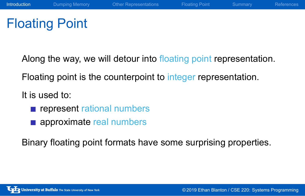## Floating Point

Along the way, we will detour into floating point representation.

Introduction Dumping Memory Other Representations Floating Point Summary References

Floating point is the counterpoint to integer representation.

It is used to:

- **represent rational numbers**
- **approximate real numbers**

Binary floating point formats have some surprising properties.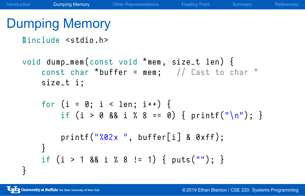#### Dumping Memory

```
#include <stdio.h>
```

```
void dump_mem(const void *mem, size_t len) {
   const char *buffer = mem; // Cast to char *
   size_t i ;
   for (i = 0; i < len; i++) {
       if (i > 0 88 i 7 8 == 0) { printf ("n"); }
       print("X02x", buffer[i] & 0xff);}
   if (i > 1 88 i 7 8 != 1) { puts("")}; }}
```
**Dumping Memory** Other Representations Floating Point Summary Reference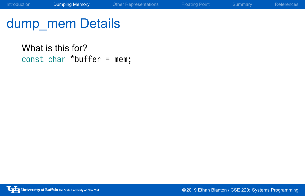What is this for? const char \*buffer = mem;

Introduction **Dumping Memory** Other Representations Floating Point Summary References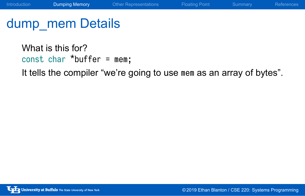What is this for? const char \*buffer = mem; It tells the compiler "we're going to use mem as an array of bytes".

Introduction **Dumping Memory** Other Representations Floating Point Summary References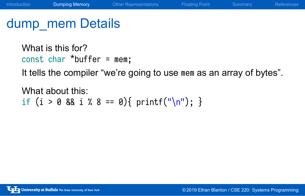What is this for? const char \*buffer = mem; It tells the compiler "we're going to use mem as an array of bytes".

Introduction **Dumping Memory** Other Representations Floating Point Summary Reference

What about this: if (i > 0 && i % 8 == 0){ printf("\n"); }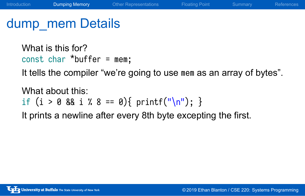What is this for? const char \*buffer = mem; It tells the compiler "we're going to use mem as an array of bytes".

Introduction **Dumping Memory** Other Representations Floating Point Summary Reference

What about this: if (i > 0 && i % 8 == 0){ printf("\n"); } It prints a newline after every 8th byte excepting the first.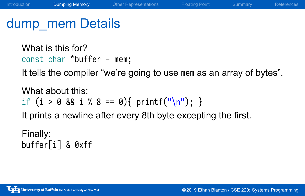What is this for? const char \*buffer = mem; It tells the compiler "we're going to use mem as an array of bytes".

What about this: if  $(i > 0 88 i 7 8 == 0)$  printf("\n"); }

Introduction **Dumping Memory** Other Representations Floating Point Summary Reference

It prints a newline after every 8th byte excepting the first.

Finally: buffer[i] & 0xff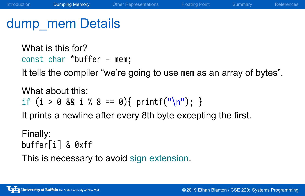What is this for? const char \*buffer = mem; It tells the compiler "we're going to use mem as an array of bytes".

Introduction **Dumping Memory** Other Representations Floating Point Summary References

What about this: if  $(i > 0 88 i 7 8 == 0)$  printf("\n"); }

It prints a newline after every 8th byte excepting the first.

Finally: buffer[i] & 0xff This is necessary to avoid sign extension.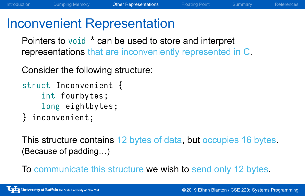#### Inconvenient Representation

Pointers to void  $*$  can be used to store and interpret representations that are inconveniently represented in C.

Introduction **Dumping Memory Other Representations** Floating Point Summary References

Consider the following structure:

```
struct Inconvenient {
    int fourbytes ;
    long eightbytes ;
} inconvenient ;
```
This structure contains 12 bytes of data, but occupies 16 bytes. (Because of padding…)

To communicate this structure we wish to send only 12 bytes.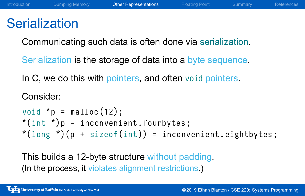#### Introduction **Dumping Memory Other Representations** Floating Point Summary References

#### **Serialization**

Communicating such data is often done via serialization.

Serialization is the storage of data into a byte sequence.

In C, we do this with pointers, and often void pointers.

```
Consider:
void *_{p} = malloc(12);
*(int * )p = inconvenient.fourbytes;*(long *)(p + sizeof(int)) = inconvenient.eighthytes;
```
This builds a 12-byte structure without padding. (In the process, it violates alignment restrictions.)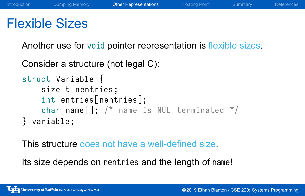#### Introduction Dumping Memory **Other Representations** Floating Point Summary References

#### Flexible Sizes

Another use for void pointer representation is flexible sizes.

Consider a structure (not legal C):

```
struct Variable {
    size_t nentries ;
    int entries [nentries];
    char name \left[\right]; /* name is NUL-terminated */
} variable ;
```
This structure does not have a well-defined size.

Its size depends on nentries and the length of name!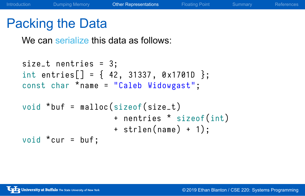Introduction **Dumping Memory Other Representations** Floating Point Summary Reference

## Packing the Data

We can serialize this data as follows:

```
size_t nentries = 3;
int entries [ ] = { 42, 31337, 0x1701D };const char *name = "Caleb Widowgast";
void *buf = malloc(sizeof(size_t)
                   + nentries * sizeof(int)
                   + strlen (name) + 1);
void *cur = bur;
```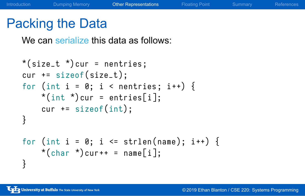#### Packing the Data

We can serialize this data as follows:

```
*(size_t * )cur = nentries;cur += sizeof(size_t);
for (int i = 0; i < nentries; i++) {
    *(int *) cur = entries[i];
    cur += sizeof(int);
}
for (int i = 0; i <= strlen(name); i++) {
    *(char *) cur + + = name [i];
}
```
**Other Representations** Floating Point Summary Reference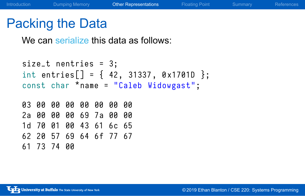#### Packing the Data

We can serialize this data as follows:

```
size_t nentries = 3;
int entries [ ] = { 42, 31337, 0x17010 };const char *name = "Caleb Widowgast";
03 00 00 00 00 00 00 00
2 a 00 00 00 69 7 a 00 00
1d 70 01 00 43 61 6c 65
62 20 57 69 64 6 f 77 67
61 73 74 00
```
Introduction Dumping Memory Other Representations Floating Point Summary References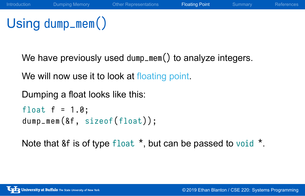# Using dump\_mem()

We have previously used dump\_mem() to analyze integers.

Introduction **Dumping Memory** Other Representations **Floating Point** Summary Reference

We will now use it to look at floating point.

Dumping a float looks like this:

```
float f = 1.0;
dump_mem(&f, sizeof(float));
```
Note that &f is of type float  $\star$ , but can be passed to void  $\star$ .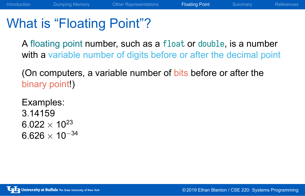## What is "Floating Point"?

A floating point number, such as a float or double, is a number with a variable number of digits before or after the decimal point

Introduction **Dumping Memory** Other Representations **Floating Point** Summary References

(On computers, a variable number of bits before or after the binary point!)

Examples: 3*.*14159  $6.022 \times 10^{23}$ <sup>6</sup>*.*<sup>626</sup> *<sup>×</sup>* <sup>10</sup>*−*<sup>34</sup>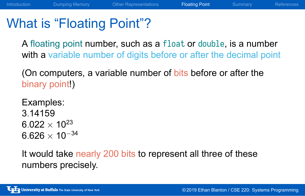#### What is "Floating Point"?

A floating point number, such as a float or double, is a number with a variable number of digits before or after the decimal point

Introduction Dumping Memory Other Representations Floating Point Summary References

(On computers, a variable number of bits before or after the binary point!)

Examples: 3*.*14159  $6.022 \times 10^{23}$ <sup>6</sup>*.*<sup>626</sup> *<sup>×</sup>* <sup>10</sup>*−*<sup>34</sup>

It would take nearly 200 bits to represent all three of these numbers precisely.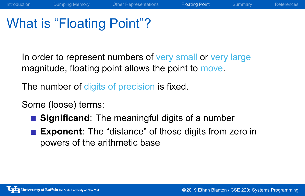## What is "Floating Point"?

In order to represent numbers of very small or very large magnitude, floating point allows the point to move.

Dumping Memory **Other Representations Floating Point** Summary Reference

The number of digits of precision is fixed.

Some (loose) terms:

- **Significand**: The meaningful digits of a number
- **Exponent**: The "distance" of those digits from zero in powers of the arithmetic base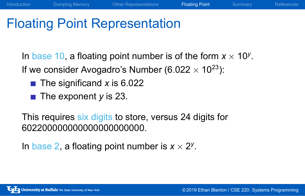## Floating Point Representation

In base 10, a floating point number is of the form *<sup>x</sup> <sup>×</sup>* <sup>10</sup>*<sup>y</sup>* . If we consider Avogadro's Number (6*.*<sup>022</sup> *<sup>×</sup>* <sup>10</sup><sup>23</sup>):

- The significand *x* is 6.022
- The exponent *y* is 23.

This requires six digits to store, versus 24 digits for 602200000000000000000000.

In base 2, a floating point number is  $x \times 2^y$ .

Other Representations **Floating Point** Summary Reference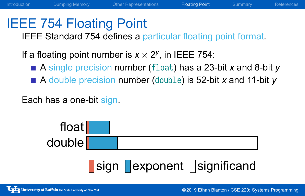#### IEEE 754 Floating Point

IEEE Standard 754 defines a particular floating point format.

If a floating point number is  $x \times 2^y$ , in IEEE 754:

A single precision number (float) has a 23-bit *x* and 8-bit *y*

ping Memory **Other Representations Floating Point** Summary Reference

■ A double precision number (double) is 52-bit *x* and 11-bit *y* 

Each has a one-bit sign.

| float  |                           |
|--------|---------------------------|
| double |                           |
|        | sign exponent Significand |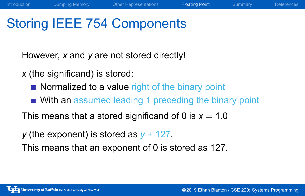## Storing IEEE 754 Components

However, *x* and *y* are not stored directly!

*x* (the significand) is stored:

- Normalized to a value right of the binary point
- With an assumed leading 1 preceding the binary point

This means that a stored significand of 0 is  $x = 1.0$ 

*y* (the exponent) is stored as *y* + 127.

This means that an exponent of 0 is stored as 127.

**Floating Point** Summary **Controller References**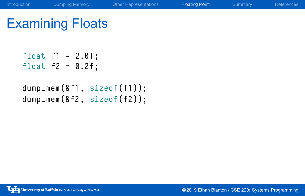# Examining Floats

```
float f1 = 2.0f;
float f2 = 0.2f;
dump_mem(&f1, sizeof(f1));
dump_mem(&f2, sizeof(f2));
```
Introduction **Dumping Memory** Other Representations **Floating Point** Summary References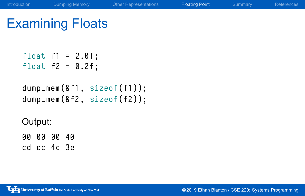# Examining Floats

float  $f1 = 2.0f$ ; float  $f2 = 0.2f$ ;

```
dump_mem(&f1, sizeof(f1));
dump_mem(&f2, sizeof(f2));
```
Introduction **Dumping Memory** Other Representations **Floating Point** Summary References

Output:

00 00 00 40 cd cc 4c 3e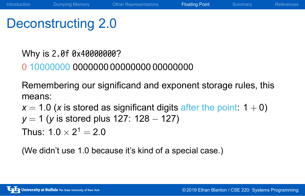## Deconstructing 2.0

Why is 2.0f 0x40000000? 0 10000000 0000000 00000000 00000000 Remembering our significand and exponent storage rules, this means:  $x = 1.0$  (*x* is stored as significant digits after the point:  $1 + 0$ )

**Interpretion Dumping Memory** Other Representations **Floating Point** Summary References

*y* = 1 (*y* is stored plus 127: 128 *−* 127)

Thus:  $1.0 \times 2^1 = 2.0$ 

(We didn't use 1.0 because it's kind of a special case.)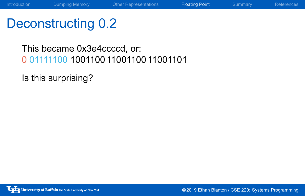# Deconstructing 0*.*2

This became 0x3e4ccccd, or: 0 01111100 1001100 11001100 11001101

Introduction **Dumping Memory** Other Representations **Floating Point** Summary References

Is this surprising?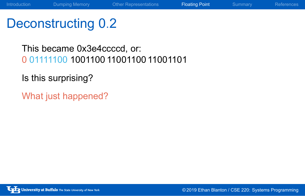# Deconstructing 0*.*2

This became 0x3e4ccccd, or: 0 01111100 1001100 11001100 11001101

Introduction **Dumping Memory** Other Representations **Floating Point** Summary References

Is this surprising?

What just happened?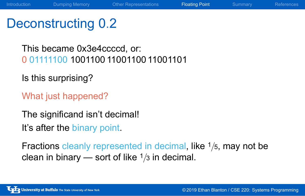#### Deconstructing 0*.*2

This became 0x3e4ccccd, or: 0 01111100 1001100 11001100 11001101

Is this surprising?

What just happened?

The significand isn't decimal! It's after the binary point.

Fractions cleanly represented in decimal, like <sup>1</sup>*/*5, may not be clean in binary — sort of like <sup>1</sup>*/*<sup>3</sup> in decimal.

Introduction **Dumping Memory** Other Representations **Floating Point** Summary References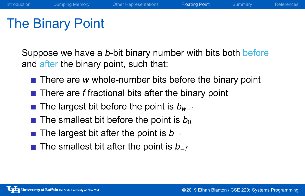## The Binary Point

Suppose we have a *b*-bit binary number with bits both before and after the binary point, such that:

- **There are w whole-number bits before the binary point**
- **There are** *f* fractional bits after the binary point
- The largest bit before the point is  $b_{w-1}$
- The smallest bit before the point is  $b_0$
- The largest bit after the point is  $b_{-1}$
- The smallest bit after the point is  $b$ <sup>*−f*</sup>

**Floating Point** Summary Reference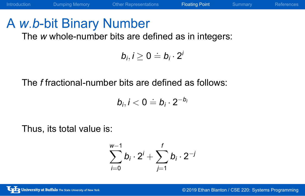# A *w.b*-bit Binary Number

The *w* whole-number bits are defined as in integers:

$$
b_i, i \geq 0 \doteq b_i \cdot 2^i
$$

Introduction **Dumping Memory** Other Representations **Floating Point** Summary References

The *f* fractional-number bits are defined as follows:

$$
b_i, i < 0 \doteq b_i \cdot 2^{-b_i}
$$

Thus, its total value is:

$$
\sum_{i=0}^{w-1} b_i \cdot 2^i + \sum_{j=1}^f b_j \cdot 2^{-j}
$$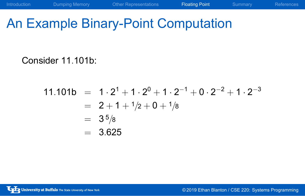# An Example Binary-Point Computation

Consider 11*.*101b:

$$
11.101b = 1 \cdot 2^{1} + 1 \cdot 2^{0} + 1 \cdot 2^{-1} + 0 \cdot 2^{-2} + 1 \cdot 2^{-3}
$$
  
= 2 + 1 + 1/2 + 0 + 1/8  
= 3<sup>5</sup>/8  
= 3.625

Introduction **Dumping Memory** Other Representations **Floating Point** Summary References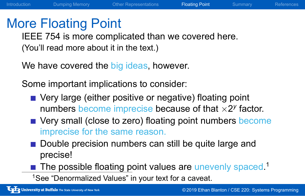#### More Floating Point

IEEE 754 is more complicated than we covered here. (You'll read more about it in the text.)

We have covered the big ideas, however.

Some important implications to consider:

**very large (either positive or negative) floating point** numbers become imprecise because of that  $\times 2^y$  factor.

Dumping Memory Cher Representations Floating Point Summary References

- Very small (close to zero) floating point numbers become imprecise for the same reason.
- Double precision numbers can still be quite large and precise!
- The possible floating point values are unevenly spaced.<sup>1</sup>
- <sup>1</sup>See "Denormalized Values" in your text for a caveat.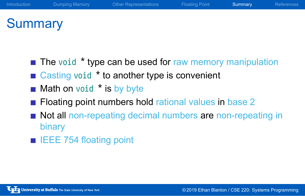## **Summary**

 $\blacksquare$  The void  $*$  type can be used for raw memory manipulation

Introduction **Dumping Memory Cther Representations** Floating Point **Summary** References

- Casting void <sup>\*</sup> to another type is convenient
- Math on void \* is by byte
- **Floating point numbers hold rational values in base 2**
- Not all non-repeating decimal numbers are non-repeating in binary
- **IEEE 754 floating point**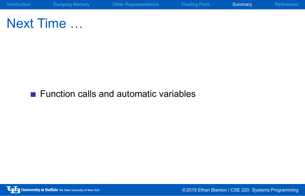

Next Time …

Function calls and automatic variables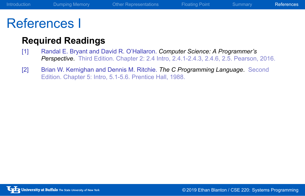#### Introduction Dumping Memory Other Representations Floating Point Summary References

## References I

#### **Required Readings**

- [1] Randal E. Bryant and David R. O'Hallaron. *Computer Science: A Programmer's Perspective*. Third Edition. Chapter 2: 2.4 Intro, 2.4.1-2.4.3, 2.4.6, 2.5. Pearson, 2016.
- [2] Brian W. Kernighan and Dennis M. Ritchie. *The C Programming Language*. Second Edition. Chapter 5: Intro, 5.1-5.6. Prentice Hall, 1988.